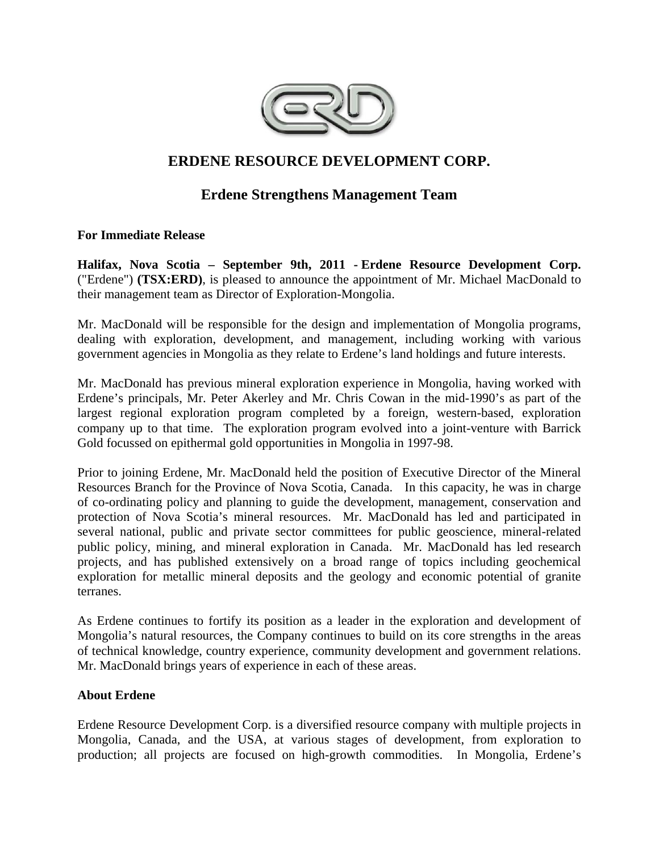

# **ERDENE RESOURCE DEVELOPMENT CORP.**

# **Erdene Strengthens Management Team**

## **For Immediate Release**

**Halifax, Nova Scotia – September 9th, 2011 - Erdene Resource Development Corp.**  ("Erdene") **(TSX:ERD)**, is pleased to announce the appointment of Mr. Michael MacDonald to their management team as Director of Exploration-Mongolia.

Mr. MacDonald will be responsible for the design and implementation of Mongolia programs, dealing with exploration, development, and management, including working with various government agencies in Mongolia as they relate to Erdene's land holdings and future interests.

Mr. MacDonald has previous mineral exploration experience in Mongolia, having worked with Erdene's principals, Mr. Peter Akerley and Mr. Chris Cowan in the mid-1990's as part of the largest regional exploration program completed by a foreign, western-based, exploration company up to that time. The exploration program evolved into a joint-venture with Barrick Gold focussed on epithermal gold opportunities in Mongolia in 1997-98.

Prior to joining Erdene, Mr. MacDonald held the position of Executive Director of the Mineral Resources Branch for the Province of Nova Scotia, Canada. In this capacity, he was in charge of co-ordinating policy and planning to guide the development, management, conservation and protection of Nova Scotia's mineral resources. Mr. MacDonald has led and participated in several national, public and private sector committees for public geoscience, mineral-related public policy, mining, and mineral exploration in Canada. Mr. MacDonald has led research projects, and has published extensively on a broad range of topics including geochemical exploration for metallic mineral deposits and the geology and economic potential of granite terranes.

As Erdene continues to fortify its position as a leader in the exploration and development of Mongolia's natural resources, the Company continues to build on its core strengths in the areas of technical knowledge, country experience, community development and government relations. Mr. MacDonald brings years of experience in each of these areas.

### **About Erdene**

Erdene Resource Development Corp. is a diversified resource company with multiple projects in Mongolia, Canada, and the USA, at various stages of development, from exploration to production; all projects are focused on high-growth commodities. In Mongolia, Erdene's